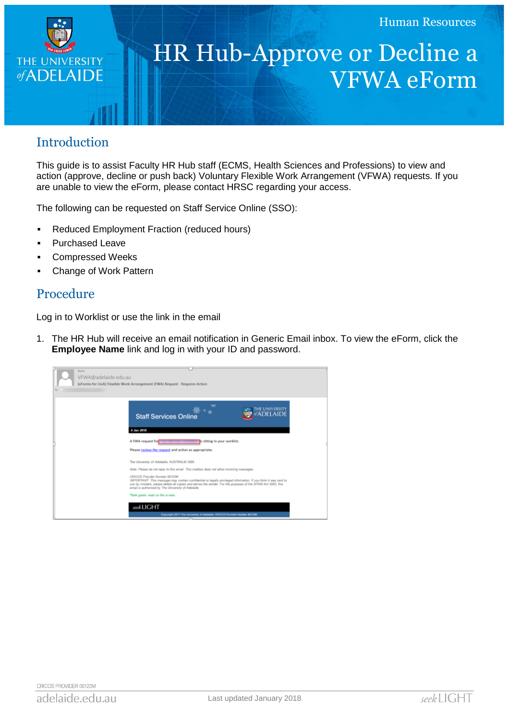

## HR Hub-Approve or Decline a VFWA eForm

## Introduction

This guide is to assist Faculty HR Hub staff (ECMS, Health Sciences and Professions) to view and action (approve, decline or push back) Voluntary Flexible Work Arrangement (VFWA) requests. If you are unable to view the eForm, please contact HRSC regarding your access.

The following can be requested on Staff Service Online (SSO):

- Reduced Employment Fraction (reduced hours)
- **Purchased Leave**
- Compressed Weeks
- Change of Work Pattern

## Procedure

Log in to Worklist or use the link in the email

1. The HR Hub will receive an email notification in Generic Email inbox. To view the eForm, click the **Employee Name** link and log in with your ID and password.

|    | <b>TELEM</b>                                                                                                                                                                                                                                                                                                          |  |
|----|-----------------------------------------------------------------------------------------------------------------------------------------------------------------------------------------------------------------------------------------------------------------------------------------------------------------------|--|
|    | VFWA@adelaide.edu.au                                                                                                                                                                                                                                                                                                  |  |
|    | [eForms for UoA] Flexible Work Arrangement (FWA) Request - Requires Action                                                                                                                                                                                                                                            |  |
| To |                                                                                                                                                                                                                                                                                                                       |  |
|    |                                                                                                                                                                                                                                                                                                                       |  |
|    | THE UNIVERSITY<br>ADELAIDE<br><b>Staff Services Online</b>                                                                                                                                                                                                                                                            |  |
|    | 4 Jan 2018                                                                                                                                                                                                                                                                                                            |  |
|    | A FWA request for<br>is sitting in your worklist.                                                                                                                                                                                                                                                                     |  |
|    | Please review the request and action as appropriate.                                                                                                                                                                                                                                                                  |  |
|    | The University of Adelaide, AUSTRALIA 5005                                                                                                                                                                                                                                                                            |  |
|    | Note: Please do not reply to this email. This mailbox does not allow incoming messages                                                                                                                                                                                                                                |  |
|    | CRICOS Provider Number 00123M<br>IMPORTANT: This message may contain confidential or legally privileged information. If you think it was sent to<br>you by mistake, please delete all copies and advise the sender. For the purposes of the SPAM Act 2003, this<br>email is authorized by The University of Adelaide. |  |
|    | Think green: read on the screen.                                                                                                                                                                                                                                                                                      |  |
|    | seekLIGHT                                                                                                                                                                                                                                                                                                             |  |
|    | Copyright 2017 The University of Adelaide, CRICOS Provider Number 00123M                                                                                                                                                                                                                                              |  |